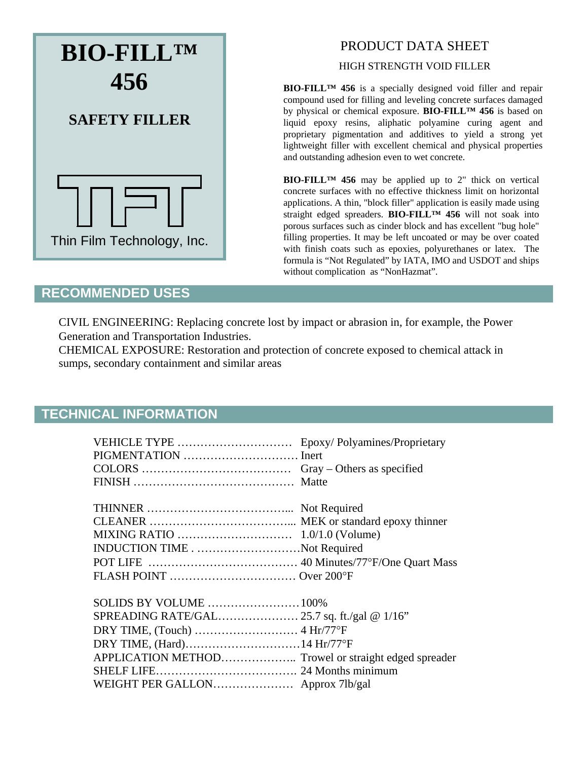

## PRODUCT DATA SHEET

HIGH STRENGTH VOID FILLER

**BIO-FILL™ 456** is a specially designed void filler and repair compound used for filling and leveling concrete surfaces damaged by physical or chemical exposure. **BIO-FILL™ 456** is based on liquid epoxy resins, aliphatic polyamine curing agent and proprietary pigmentation and additives to yield a strong yet lightweight filler with excellent chemical and physical properties and outstanding adhesion even to wet concrete.

**BIO-FILL™ 456** may be applied up to 2" thick on vertical concrete surfaces with no effective thickness limit on horizontal applications. A thin, "block filler" application is easily made using straight edged spreaders. **BIO-FILL™ 456** will not soak into porous surfaces such as cinder block and has excellent "bug hole" filling properties. It may be left uncoated or may be over coated with finish coats such as epoxies, polyurethanes or latex. The formula is "Not Regulated" by IATA, IMO and USDOT and ships without complication as "NonHazmat".

## **RECOMMENDED USES**

CIVIL ENGINEERING: Replacing concrete lost by impact or abrasion in, for example, the Power Generation and Transportation Industries.

CHEMICAL EXPOSURE: Restoration and protection of concrete exposed to chemical attack in sumps, secondary containment and similar areas

## **TECHNICAL INFORMATION**

| VEHICLE TYPE  Epoxy/ Polyamines/Proprietary          |  |
|------------------------------------------------------|--|
|                                                      |  |
|                                                      |  |
|                                                      |  |
|                                                      |  |
|                                                      |  |
|                                                      |  |
|                                                      |  |
| INDUCTION TIMENot Required                           |  |
|                                                      |  |
|                                                      |  |
|                                                      |  |
| SOLIDS BY VOLUME  100%                               |  |
| SPREADING RATE/GAL 25.7 sq. ft./gal @ 1/16"          |  |
|                                                      |  |
|                                                      |  |
| APPLICATION METHOD Trowel or straight edged spreader |  |
|                                                      |  |
| WEIGHT PER GALLON Approx 7lb/gal                     |  |
|                                                      |  |